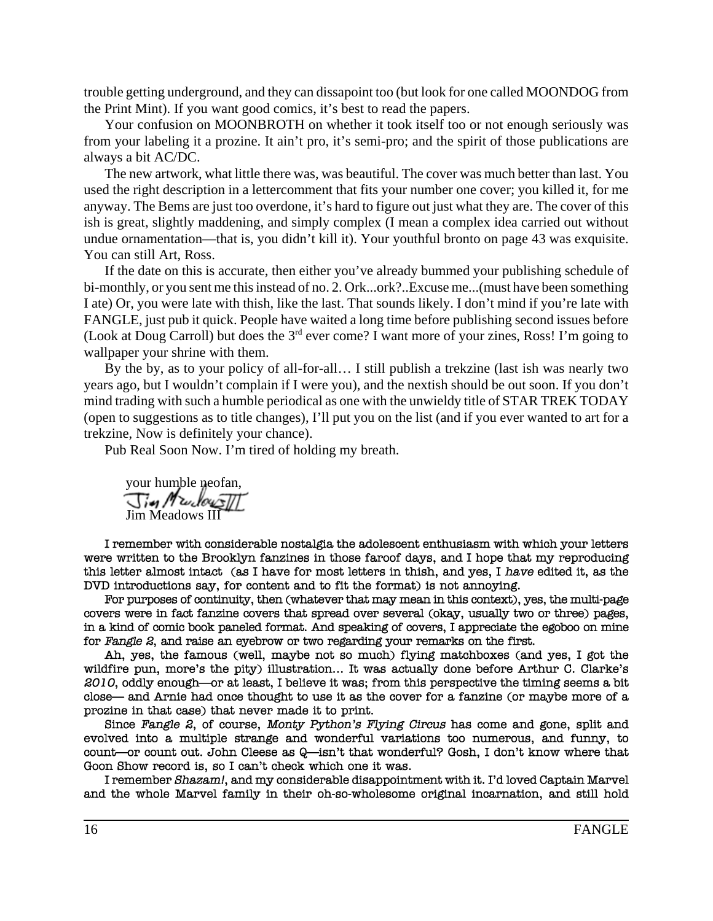trouble getting underground, and they can dissapoint too (but look for one called MOONDOG from the Print Mint). If you want good comics, it's best to read the papers.

Your confusion on MOONBROTH on whether it took itself too or not enough seriously was from your labeling it a prozine. It ain't pro, it's semi-pro; and the spirit of those publications are always a bit AC/DC.

The new artwork, what little there was, was beautiful. The cover was much better than last. You used the right description in a lettercomment that fits your number one cover; you killed it, for me anyway. The Bems are just too overdone, it's hard to figure out just what they are. The cover of this ish is great, slightly maddening, and simply complex (I mean a complex idea carried out without undue ornamentation—that is, you didn't kill it). Your youthful bronto on page 43 was exquisite. You can still Art, Ross.

If the date on this is accurate, then either you've already bummed your publishing schedule of bi-monthly, or you sent me this instead of no. 2. Ork...ork?..Excuse me...(must have been something I ate) Or, you were late with thish, like the last. That sounds likely. I don't mind if you're late with FANGLE, just pub it quick. People have waited a long time before publishing second issues before (Look at Doug Carroll) but does the  $3<sup>rd</sup>$  ever come? I want more of your zines, Ross! I'm going to wallpaper your shrine with them.

By the by, as to your policy of all-for-all… I still publish a trekzine (last ish was nearly two years ago, but I wouldn't complain if I were you), and the nextish should be out soon. If you don't mind trading with such a humble periodical as one with the unwieldy title of STAR TREK TODAY (open to suggestions as to title changes), I'll put you on the list (and if you ever wanted to art for a trekzine, Now is definitely your chance).

Pub Real Soon Now. I'm tired of holding my breath.

your humble neofan, Jim Meadows III

I remember with considerable nostalgia the adolescent enthusiasm with which your letters were written to the Brooklyn fanzines in those faroof days, and I hope that my reproducing this letter almost intact (as I have for most letters in thish, and yes, I have edited it, as the DVD introductions say, for content and to fit the format) is not annoying.

For purposes of continuity, then (whatever that may mean in this context), yes, the multi-page covers were in fact fanzine covers that spread over several (okay, usually two or three) pages, in a kind of comic book paneled format. And speaking of covers, I appreciate the egoboo on mine for Fangle 2, and raise an evebrow or two regarding your remarks on the first.

Ah, yes, the famous (well, maybe not so much) flying matchboxes (and yes, I got the wildfire pun, more's the pity) illustration... It was actually done before Arthur C. Clarke's 2010, oddly enough—or at least, I believe it was; from this perspective the timing seems a bit close— and Arnie had once thought to use it as the cover for a fanzine (or maybe more of a prozine in that case) that never made it to print.

Since Fangle 2, of course, Monty Python's Flying Circus has come and gone, split and evolved into a multiple strange and wonderful variations too numerous, and funny, to count—or count out. John Cleese as Q—isn't that wonderful? Gosh, I don't know where that Goon Show record is, so I can't check which one it was.

I remember Shazam!, and my considerable disappointment with it. I'd loved Captain Marvel and the whole Marvel family in their oh-so-wholesome original incarnation, and still hold